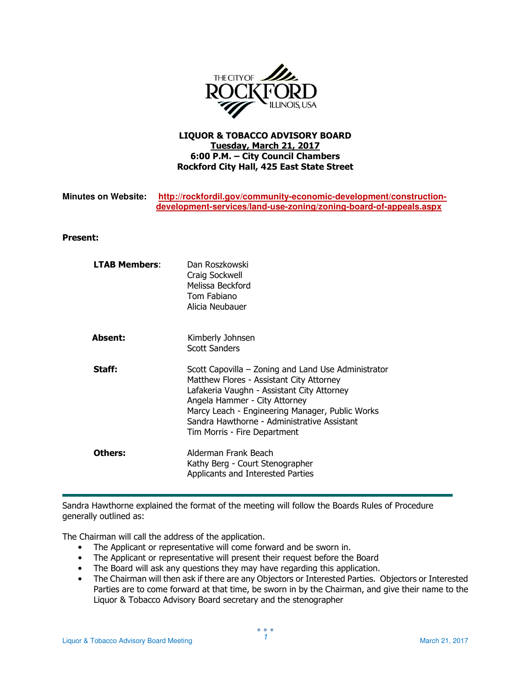

## LIQUOR & TOBACCO ADVISORY BOARD Tuesday, March 21, 2017 6:00 P.M. – City Council Chambers Rockford City Hall, 425 East State Street

| <b>Minutes on Website:</b> | http://rockfordil.gov/community-economic-development/construction- |
|----------------------------|--------------------------------------------------------------------|
|                            | development-services/land-use-zoning/zoning-board-of-appeals.aspx  |

## Present:

| <b>LTAB Members:</b> | Dan Roszkowski<br>Craig Sockwell<br>Melissa Beckford<br>Tom Fabiano<br>Alicia Neubauer                                                                                                                                                                                                                           |
|----------------------|------------------------------------------------------------------------------------------------------------------------------------------------------------------------------------------------------------------------------------------------------------------------------------------------------------------|
| <b>Absent:</b>       | Kimberly Johnsen<br><b>Scott Sanders</b>                                                                                                                                                                                                                                                                         |
| Staff:               | Scott Capovilla – Zoning and Land Use Administrator<br>Matthew Flores - Assistant City Attorney<br>Lafakeria Vaughn - Assistant City Attorney<br>Angela Hammer - City Attorney<br>Marcy Leach - Engineering Manager, Public Works<br>Sandra Hawthorne - Administrative Assistant<br>Tim Morris - Fire Department |
| Others:              | Alderman Frank Beach<br>Kathy Berg - Court Stenographer<br>Applicants and Interested Parties                                                                                                                                                                                                                     |

Sandra Hawthorne explained the format of the meeting will follow the Boards Rules of Procedure generally outlined as:

The Chairman will call the address of the application.

- The Applicant or representative will come forward and be sworn in.
- The Applicant or representative will present their request before the Board
- The Board will ask any questions they may have regarding this application.
- The Chairman will then ask if there are any Objectors or Interested Parties. Objectors or Interested Parties are to come forward at that time, be sworn in by the Chairman, and give their name to the Liquor & Tobacco Advisory Board secretary and the stenographer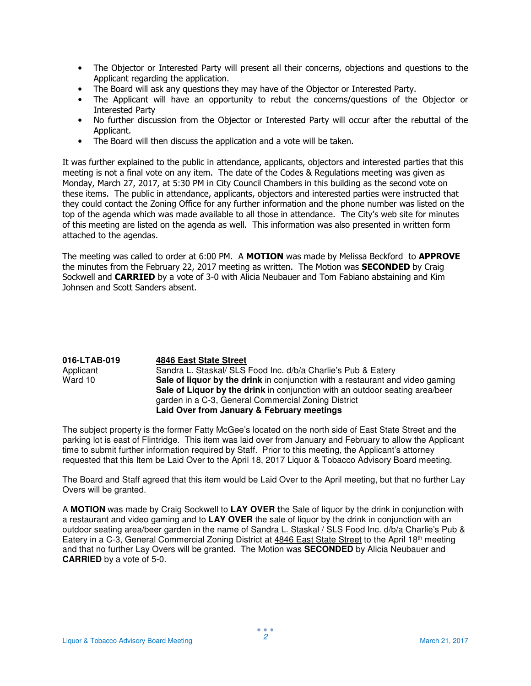- The Objector or Interested Party will present all their concerns, objections and questions to the Applicant regarding the application.
- The Board will ask any questions they may have of the Objector or Interested Party.
- The Applicant will have an opportunity to rebut the concerns/questions of the Objector or Interested Party
- No further discussion from the Objector or Interested Party will occur after the rebuttal of the Applicant.
- The Board will then discuss the application and a vote will be taken.

It was further explained to the public in attendance, applicants, objectors and interested parties that this meeting is not a final vote on any item. The date of the Codes & Regulations meeting was given as Monday, March 27, 2017, at 5:30 PM in City Council Chambers in this building as the second vote on these items. The public in attendance, applicants, objectors and interested parties were instructed that they could contact the Zoning Office for any further information and the phone number was listed on the top of the agenda which was made available to all those in attendance. The City's web site for minutes of this meeting are listed on the agenda as well. This information was also presented in written form attached to the agendas.

The meeting was called to order at 6:00 PM. A MOTION was made by Melissa Beckford to APPROVE the minutes from the February 22, 2017 meeting as written. The Motion was **SECONDED** by Craig Sockwell and **CARRIED** by a vote of 3-0 with Alicia Neubauer and Tom Fabiano abstaining and Kim Johnsen and Scott Sanders absent.

| 016-LTAB-019 | 4846 East State Street                                                        |
|--------------|-------------------------------------------------------------------------------|
| Applicant    | Sandra L. Staskal/ SLS Food Inc. d/b/a Charlie's Pub & Eatery                 |
| Ward 10      | Sale of liquor by the drink in conjunction with a restaurant and video gaming |
|              | Sale of Liquor by the drink in conjunction with an outdoor seating area/beer  |
|              | garden in a C-3, General Commercial Zoning District                           |
|              | Laid Over from January & February meetings                                    |

The subject property is the former Fatty McGee's located on the north side of East State Street and the parking lot is east of Flintridge. This item was laid over from January and February to allow the Applicant time to submit further information required by Staff. Prior to this meeting, the Applicant's attorney requested that this Item be Laid Over to the April 18, 2017 Liquor & Tobacco Advisory Board meeting.

The Board and Staff agreed that this item would be Laid Over to the April meeting, but that no further Lay Overs will be granted.

A **MOTION** was made by Craig Sockwell to **LAY OVER t**he Sale of liquor by the drink in conjunction with a restaurant and video gaming and to **LAY OVER** the sale of liquor by the drink in conjunction with an outdoor seating area/beer garden in the name of Sandra L. Staskal / SLS Food Inc. d/b/a Charlie's Pub & Eatery in a C-3, General Commercial Zoning District at 4846 East State Street to the April 18th meeting and that no further Lay Overs will be granted. The Motion was **SECONDED** by Alicia Neubauer and **CARRIED** by a vote of 5-0.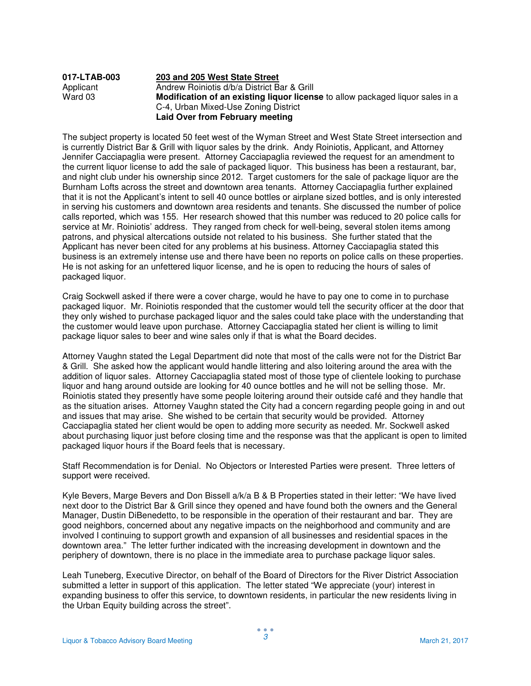| 017-LTAB-003 | 203 and 205 West State Street                                                         |
|--------------|---------------------------------------------------------------------------------------|
| Applicant    | Andrew Roiniotis d/b/a District Bar & Grill                                           |
| Ward 03      | <b>Modification of an existing liquor license</b> to allow packaged liquor sales in a |
|              | C-4, Urban Mixed-Use Zoning District                                                  |
|              | Laid Over from February meeting                                                       |

The subject property is located 50 feet west of the Wyman Street and West State Street intersection and is currently District Bar & Grill with liquor sales by the drink. Andy Roiniotis, Applicant, and Attorney Jennifer Cacciapaglia were present. Attorney Cacciapaglia reviewed the request for an amendment to the current liquor license to add the sale of packaged liquor. This business has been a restaurant, bar, and night club under his ownership since 2012. Target customers for the sale of package liquor are the Burnham Lofts across the street and downtown area tenants. Attorney Cacciapaglia further explained that it is not the Applicant's intent to sell 40 ounce bottles or airplane sized bottles, and is only interested in serving his customers and downtown area residents and tenants. She discussed the number of police calls reported, which was 155. Her research showed that this number was reduced to 20 police calls for service at Mr. Roiniotis' address. They ranged from check for well-being, several stolen items among patrons, and physical altercations outside not related to his business. She further stated that the Applicant has never been cited for any problems at his business. Attorney Cacciapaglia stated this business is an extremely intense use and there have been no reports on police calls on these properties. He is not asking for an unfettered liquor license, and he is open to reducing the hours of sales of packaged liquor.

Craig Sockwell asked if there were a cover charge, would he have to pay one to come in to purchase packaged liquor. Mr. Roiniotis responded that the customer would tell the security officer at the door that they only wished to purchase packaged liquor and the sales could take place with the understanding that the customer would leave upon purchase. Attorney Cacciapaglia stated her client is willing to limit package liquor sales to beer and wine sales only if that is what the Board decides.

Attorney Vaughn stated the Legal Department did note that most of the calls were not for the District Bar & Grill. She asked how the applicant would handle littering and also loitering around the area with the addition of liquor sales. Attorney Cacciapaglia stated most of those type of clientele looking to purchase liquor and hang around outside are looking for 40 ounce bottles and he will not be selling those. Mr. Roiniotis stated they presently have some people loitering around their outside café and they handle that as the situation arises. Attorney Vaughn stated the City had a concern regarding people going in and out and issues that may arise. She wished to be certain that security would be provided. Attorney Cacciapaglia stated her client would be open to adding more security as needed. Mr. Sockwell asked about purchasing liquor just before closing time and the response was that the applicant is open to limited packaged liquor hours if the Board feels that is necessary.

Staff Recommendation is for Denial. No Objectors or Interested Parties were present. Three letters of support were received.

Kyle Bevers, Marge Bevers and Don Bissell a/k/a B & B Properties stated in their letter: "We have lived next door to the District Bar & Grill since they opened and have found both the owners and the General Manager, Dustin DiBenedetto, to be responsible in the operation of their restaurant and bar. They are good neighbors, concerned about any negative impacts on the neighborhood and community and are involved I continuing to support growth and expansion of all businesses and residential spaces in the downtown area." The letter further indicated with the increasing development in downtown and the periphery of downtown, there is no place in the immediate area to purchase package liquor sales.

Leah Tuneberg, Executive Director, on behalf of the Board of Directors for the River District Association submitted a letter in support of this application. The letter stated "We appreciate (your) interest in expanding business to offer this service, to downtown residents, in particular the new residents living in the Urban Equity building across the street".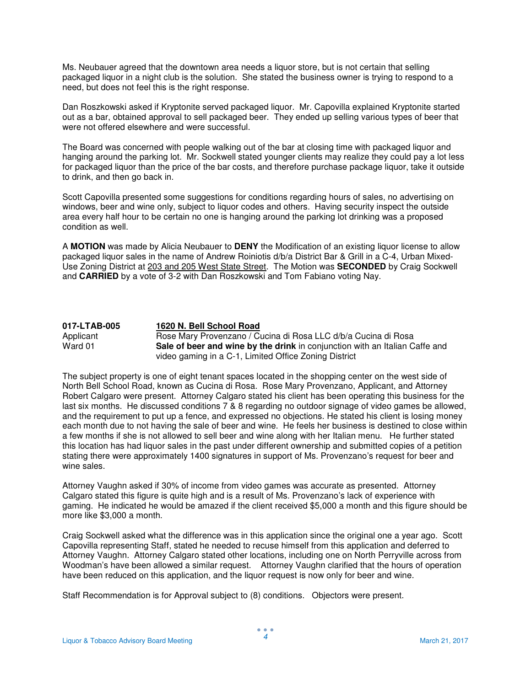Ms. Neubauer agreed that the downtown area needs a liquor store, but is not certain that selling packaged liquor in a night club is the solution. She stated the business owner is trying to respond to a need, but does not feel this is the right response.

Dan Roszkowski asked if Kryptonite served packaged liquor. Mr. Capovilla explained Kryptonite started out as a bar, obtained approval to sell packaged beer. They ended up selling various types of beer that were not offered elsewhere and were successful.

The Board was concerned with people walking out of the bar at closing time with packaged liquor and hanging around the parking lot. Mr. Sockwell stated younger clients may realize they could pay a lot less for packaged liquor than the price of the bar costs, and therefore purchase package liquor, take it outside to drink, and then go back in.

Scott Capovilla presented some suggestions for conditions regarding hours of sales, no advertising on windows, beer and wine only, subject to liquor codes and others. Having security inspect the outside area every half hour to be certain no one is hanging around the parking lot drinking was a proposed condition as well.

A **MOTION** was made by Alicia Neubauer to **DENY** the Modification of an existing liquor license to allow packaged liquor sales in the name of Andrew Roiniotis d/b/a District Bar & Grill in a C-4, Urban Mixed-Use Zoning District at 203 and 205 West State Street. The Motion was **SECONDED** by Craig Sockwell and **CARRIED** by a vote of 3-2 with Dan Roszkowski and Tom Fabiano voting Nay.

| 017-LTAB-005 | 1620 N. Bell School Road                                                    |
|--------------|-----------------------------------------------------------------------------|
| Applicant    | Rose Mary Provenzano / Cucina di Rosa LLC d/b/a Cucina di Rosa              |
| Ward 01      | Sale of beer and wine by the drink in conjunction with an Italian Caffe and |
|              | video gaming in a C-1, Limited Office Zoning District                       |

The subject property is one of eight tenant spaces located in the shopping center on the west side of North Bell School Road, known as Cucina di Rosa. Rose Mary Provenzano, Applicant, and Attorney Robert Calgaro were present. Attorney Calgaro stated his client has been operating this business for the last six months. He discussed conditions 7 & 8 regarding no outdoor signage of video games be allowed, and the requirement to put up a fence, and expressed no objections. He stated his client is losing money each month due to not having the sale of beer and wine. He feels her business is destined to close within a few months if she is not allowed to sell beer and wine along with her Italian menu. He further stated this location has had liquor sales in the past under different ownership and submitted copies of a petition stating there were approximately 1400 signatures in support of Ms. Provenzano's request for beer and wine sales.

Attorney Vaughn asked if 30% of income from video games was accurate as presented. Attorney Calgaro stated this figure is quite high and is a result of Ms. Provenzano's lack of experience with gaming. He indicated he would be amazed if the client received \$5,000 a month and this figure should be more like \$3,000 a month.

Craig Sockwell asked what the difference was in this application since the original one a year ago. Scott Capovilla representing Staff, stated he needed to recuse himself from this application and deferred to Attorney Vaughn. Attorney Calgaro stated other locations, including one on North Perryville across from Woodman's have been allowed a similar request. Attorney Vaughn clarified that the hours of operation have been reduced on this application, and the liquor request is now only for beer and wine.

Staff Recommendation is for Approval subject to (8) conditions. Objectors were present.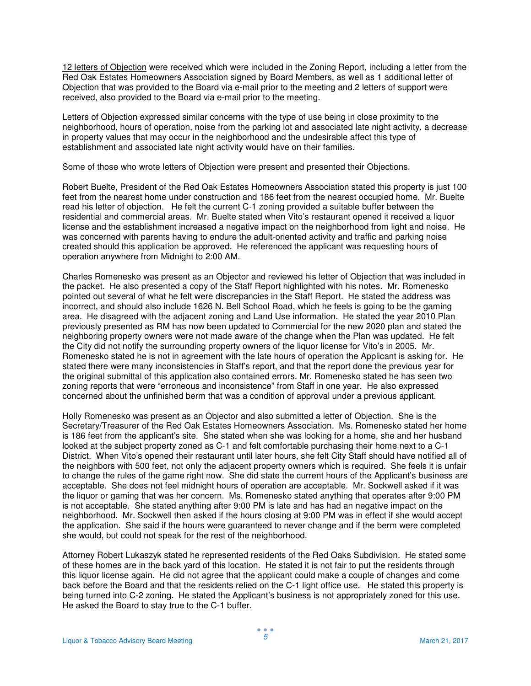12 letters of Objection were received which were included in the Zoning Report, including a letter from the Red Oak Estates Homeowners Association signed by Board Members, as well as 1 additional letter of Objection that was provided to the Board via e-mail prior to the meeting and 2 letters of support were received, also provided to the Board via e-mail prior to the meeting.

Letters of Objection expressed similar concerns with the type of use being in close proximity to the neighborhood, hours of operation, noise from the parking lot and associated late night activity, a decrease in property values that may occur in the neighborhood and the undesirable affect this type of establishment and associated late night activity would have on their families.

Some of those who wrote letters of Objection were present and presented their Objections.

Robert Buelte, President of the Red Oak Estates Homeowners Association stated this property is just 100 feet from the nearest home under construction and 186 feet from the nearest occupied home. Mr. Buelte read his letter of objection. He felt the current C-1 zoning provided a suitable buffer between the residential and commercial areas. Mr. Buelte stated when Vito's restaurant opened it received a liquor license and the establishment increased a negative impact on the neighborhood from light and noise. He was concerned with parents having to endure the adult-oriented activity and traffic and parking noise created should this application be approved. He referenced the applicant was requesting hours of operation anywhere from Midnight to 2:00 AM.

Charles Romenesko was present as an Objector and reviewed his letter of Objection that was included in the packet. He also presented a copy of the Staff Report highlighted with his notes. Mr. Romenesko pointed out several of what he felt were discrepancies in the Staff Report. He stated the address was incorrect, and should also include 1626 N. Bell School Road, which he feels is going to be the gaming area. He disagreed with the adjacent zoning and Land Use information. He stated the year 2010 Plan previously presented as RM has now been updated to Commercial for the new 2020 plan and stated the neighboring property owners were not made aware of the change when the Plan was updated. He felt the City did not notify the surrounding property owners of the liquor license for Vito's in 2005. Mr. Romenesko stated he is not in agreement with the late hours of operation the Applicant is asking for. He stated there were many inconsistencies in Staff's report, and that the report done the previous year for the original submittal of this application also contained errors. Mr. Romenesko stated he has seen two zoning reports that were "erroneous and inconsistence" from Staff in one year. He also expressed concerned about the unfinished berm that was a condition of approval under a previous applicant.

Holly Romenesko was present as an Objector and also submitted a letter of Objection. She is the Secretary/Treasurer of the Red Oak Estates Homeowners Association. Ms. Romenesko stated her home is 186 feet from the applicant's site. She stated when she was looking for a home, she and her husband looked at the subject property zoned as C-1 and felt comfortable purchasing their home next to a C-1 District. When Vito's opened their restaurant until later hours, she felt City Staff should have notified all of the neighbors with 500 feet, not only the adjacent property owners which is required. She feels it is unfair to change the rules of the game right now. She did state the current hours of the Applicant's business are acceptable. She does not feel midnight hours of operation are acceptable. Mr. Sockwell asked if it was the liquor or gaming that was her concern. Ms. Romenesko stated anything that operates after 9:00 PM is not acceptable. She stated anything after 9:00 PM is late and has had an negative impact on the neighborhood. Mr. Sockwell then asked if the hours closing at 9:00 PM was in effect if she would accept the application. She said if the hours were guaranteed to never change and if the berm were completed she would, but could not speak for the rest of the neighborhood.

Attorney Robert Lukaszyk stated he represented residents of the Red Oaks Subdivision. He stated some of these homes are in the back yard of this location. He stated it is not fair to put the residents through this liquor license again. He did not agree that the applicant could make a couple of changes and come back before the Board and that the residents relied on the C-1 light office use. He stated this property is being turned into C-2 zoning. He stated the Applicant's business is not appropriately zoned for this use. He asked the Board to stay true to the C-1 buffer.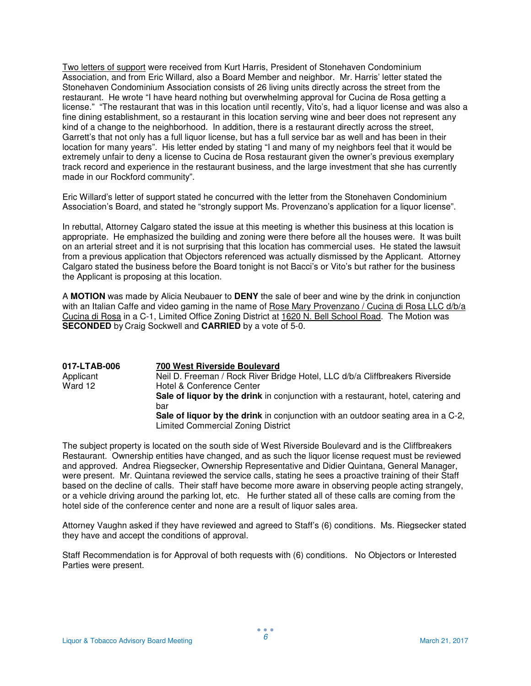Two letters of support were received from Kurt Harris, President of Stonehaven Condominium Association, and from Eric Willard, also a Board Member and neighbor. Mr. Harris' letter stated the Stonehaven Condominium Association consists of 26 living units directly across the street from the restaurant. He wrote "I have heard nothing but overwhelming approval for Cucina de Rosa getting a license." "The restaurant that was in this location until recently, Vito's, had a liquor license and was also a fine dining establishment, so a restaurant in this location serving wine and beer does not represent any kind of a change to the neighborhood. In addition, there is a restaurant directly across the street, Garrett's that not only has a full liquor license, but has a full service bar as well and has been in their location for many years". His letter ended by stating "I and many of my neighbors feel that it would be extremely unfair to deny a license to Cucina de Rosa restaurant given the owner's previous exemplary track record and experience in the restaurant business, and the large investment that she has currently made in our Rockford community".

Eric Willard's letter of support stated he concurred with the letter from the Stonehaven Condominium Association's Board, and stated he "strongly support Ms. Provenzano's application for a liquor license".

In rebuttal, Attorney Calgaro stated the issue at this meeting is whether this business at this location is appropriate. He emphasized the building and zoning were there before all the houses were. It was built on an arterial street and it is not surprising that this location has commercial uses. He stated the lawsuit from a previous application that Objectors referenced was actually dismissed by the Applicant. Attorney Calgaro stated the business before the Board tonight is not Bacci's or Vito's but rather for the business the Applicant is proposing at this location.

A **MOTION** was made by Alicia Neubauer to **DENY** the sale of beer and wine by the drink in conjunction with an Italian Caffe and video gaming in the name of Rose Mary Provenzano / Cucina di Rosa LLC d/b/a Cucina di Rosa in a C-1, Limited Office Zoning District at 1620 N. Bell School Road. The Motion was **SECONDED** by Craig Sockwell and **CARRIED** by a vote of 5-0.

| 017-LTAB-006 | 700 West Riverside Boulevard                                                             |
|--------------|------------------------------------------------------------------------------------------|
| Applicant    | Neil D. Freeman / Rock River Bridge Hotel, LLC d/b/a Cliffbreakers Riverside             |
| Ward 12      | Hotel & Conference Center                                                                |
|              | Sale of liquor by the drink in conjunction with a restaurant, hotel, catering and<br>bar |
|              | Sale of liquor by the drink in conjunction with an outdoor seating area in a C-2,        |
|              | <b>Limited Commercial Zoning District</b>                                                |

The subject property is located on the south side of West Riverside Boulevard and is the Cliffbreakers Restaurant. Ownership entities have changed, and as such the liquor license request must be reviewed and approved. Andrea Riegsecker, Ownership Representative and Didier Quintana, General Manager, were present. Mr. Quintana reviewed the service calls, stating he sees a proactive training of their Staff based on the decline of calls. Their staff have become more aware in observing people acting strangely, or a vehicle driving around the parking lot, etc. He further stated all of these calls are coming from the hotel side of the conference center and none are a result of liquor sales area.

Attorney Vaughn asked if they have reviewed and agreed to Staff's (6) conditions. Ms. Riegsecker stated they have and accept the conditions of approval.

Staff Recommendation is for Approval of both requests with (6) conditions. No Objectors or Interested Parties were present.